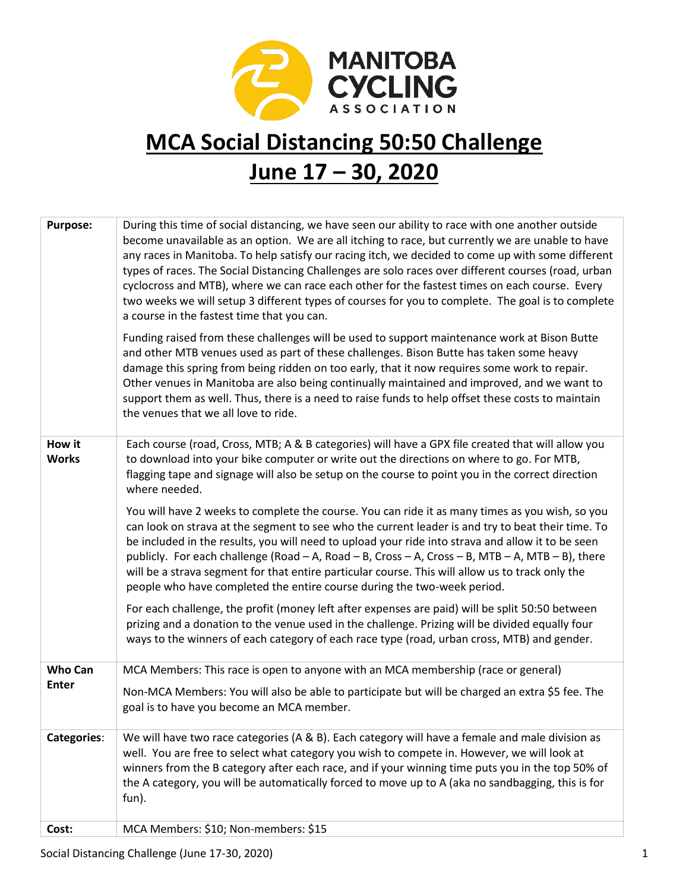

### **MCA Social Distancing 50:50 Challenge June 17 – 30, 2020**

| <b>Purpose:</b>        | During this time of social distancing, we have seen our ability to race with one another outside<br>become unavailable as an option. We are all itching to race, but currently we are unable to have<br>any races in Manitoba. To help satisfy our racing itch, we decided to come up with some different<br>types of races. The Social Distancing Challenges are solo races over different courses (road, urban<br>cyclocross and MTB), where we can race each other for the fastest times on each course. Every<br>two weeks we will setup 3 different types of courses for you to complete. The goal is to complete<br>a course in the fastest time that you can. |
|------------------------|----------------------------------------------------------------------------------------------------------------------------------------------------------------------------------------------------------------------------------------------------------------------------------------------------------------------------------------------------------------------------------------------------------------------------------------------------------------------------------------------------------------------------------------------------------------------------------------------------------------------------------------------------------------------|
|                        | Funding raised from these challenges will be used to support maintenance work at Bison Butte<br>and other MTB venues used as part of these challenges. Bison Butte has taken some heavy<br>damage this spring from being ridden on too early, that it now requires some work to repair.<br>Other venues in Manitoba are also being continually maintained and improved, and we want to<br>support them as well. Thus, there is a need to raise funds to help offset these costs to maintain<br>the venues that we all love to ride.                                                                                                                                  |
| How it<br><b>Works</b> | Each course (road, Cross, MTB; A & B categories) will have a GPX file created that will allow you<br>to download into your bike computer or write out the directions on where to go. For MTB,<br>flagging tape and signage will also be setup on the course to point you in the correct direction<br>where needed.                                                                                                                                                                                                                                                                                                                                                   |
|                        | You will have 2 weeks to complete the course. You can ride it as many times as you wish, so you<br>can look on strava at the segment to see who the current leader is and try to beat their time. To<br>be included in the results, you will need to upload your ride into strava and allow it to be seen<br>publicly. For each challenge (Road - A, Road - B, Cross - A, Cross - B, MTB - A, MTB - B), there<br>will be a strava segment for that entire particular course. This will allow us to track only the<br>people who have completed the entire course during the two-week period.                                                                         |
|                        | For each challenge, the profit (money left after expenses are paid) will be split 50:50 between<br>prizing and a donation to the venue used in the challenge. Prizing will be divided equally four<br>ways to the winners of each category of each race type (road, urban cross, MTB) and gender.                                                                                                                                                                                                                                                                                                                                                                    |
| <b>Who Can</b>         | MCA Members: This race is open to anyone with an MCA membership (race or general)                                                                                                                                                                                                                                                                                                                                                                                                                                                                                                                                                                                    |
| <b>Enter</b>           | Non-MCA Members: You will also be able to participate but will be charged an extra \$5 fee. The<br>goal is to have you become an MCA member.                                                                                                                                                                                                                                                                                                                                                                                                                                                                                                                         |
| <b>Categories:</b>     | We will have two race categories (A & B). Each category will have a female and male division as<br>well. You are free to select what category you wish to compete in. However, we will look at<br>winners from the B category after each race, and if your winning time puts you in the top 50% of<br>the A category, you will be automatically forced to move up to A (aka no sandbagging, this is for<br>fun).                                                                                                                                                                                                                                                     |
| Cost:                  | MCA Members: \$10; Non-members: \$15                                                                                                                                                                                                                                                                                                                                                                                                                                                                                                                                                                                                                                 |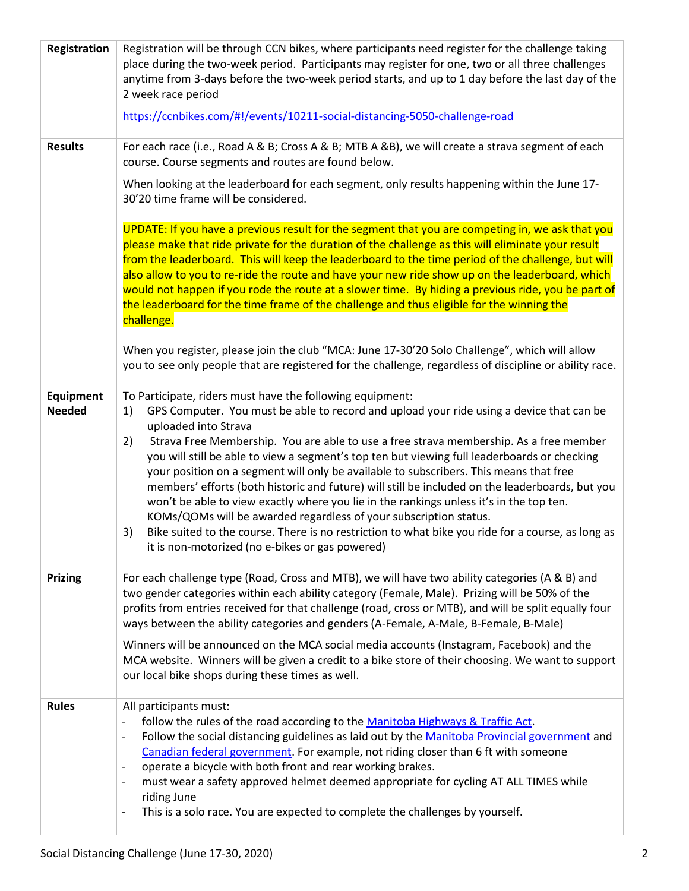| Registration                      | Registration will be through CCN bikes, where participants need register for the challenge taking<br>place during the two-week period. Participants may register for one, two or all three challenges<br>anytime from 3-days before the two-week period starts, and up to 1 day before the last day of the<br>2 week race period<br>https://ccnbikes.com/#!/events/10211-social-distancing-5050-challenge-road                                                                                                                                                                                                                                                                                                                                                                                                                                                                                                 |  |  |
|-----------------------------------|----------------------------------------------------------------------------------------------------------------------------------------------------------------------------------------------------------------------------------------------------------------------------------------------------------------------------------------------------------------------------------------------------------------------------------------------------------------------------------------------------------------------------------------------------------------------------------------------------------------------------------------------------------------------------------------------------------------------------------------------------------------------------------------------------------------------------------------------------------------------------------------------------------------|--|--|
| <b>Results</b>                    | For each race (i.e., Road A & B; Cross A & B; MTB A &B), we will create a strava segment of each<br>course. Course segments and routes are found below.                                                                                                                                                                                                                                                                                                                                                                                                                                                                                                                                                                                                                                                                                                                                                        |  |  |
|                                   | When looking at the leaderboard for each segment, only results happening within the June 17-<br>30'20 time frame will be considered.                                                                                                                                                                                                                                                                                                                                                                                                                                                                                                                                                                                                                                                                                                                                                                           |  |  |
|                                   | UPDATE: If you have a previous result for the segment that you are competing in, we ask that you<br>please make that ride private for the duration of the challenge as this will eliminate your result<br>from the leaderboard. This will keep the leaderboard to the time period of the challenge, but will<br>also allow to you to re-ride the route and have your new ride show up on the leaderboard, which<br>would not happen if you rode the route at a slower time. By hiding a previous ride, you be part of<br>the leaderboard for the time frame of the challenge and thus eligible for the winning the<br>challenge.                                                                                                                                                                                                                                                                               |  |  |
|                                   | When you register, please join the club "MCA: June 17-30'20 Solo Challenge", which will allow<br>you to see only people that are registered for the challenge, regardless of discipline or ability race.                                                                                                                                                                                                                                                                                                                                                                                                                                                                                                                                                                                                                                                                                                       |  |  |
| <b>Equipment</b><br><b>Needed</b> | To Participate, riders must have the following equipment:<br>GPS Computer. You must be able to record and upload your ride using a device that can be<br>1)<br>uploaded into Strava<br>Strava Free Membership. You are able to use a free strava membership. As a free member<br>2)<br>you will still be able to view a segment's top ten but viewing full leaderboards or checking<br>your position on a segment will only be available to subscribers. This means that free<br>members' efforts (both historic and future) will still be included on the leaderboards, but you<br>won't be able to view exactly where you lie in the rankings unless it's in the top ten.<br>KOMs/QOMs will be awarded regardless of your subscription status.<br>Bike suited to the course. There is no restriction to what bike you ride for a course, as long as<br>3)<br>it is non-motorized (no e-bikes or gas powered) |  |  |
| <b>Prizing</b>                    | For each challenge type (Road, Cross and MTB), we will have two ability categories (A & B) and<br>two gender categories within each ability category (Female, Male). Prizing will be 50% of the<br>profits from entries received for that challenge (road, cross or MTB), and will be split equally four<br>ways between the ability categories and genders (A-Female, A-Male, B-Female, B-Male)<br>Winners will be announced on the MCA social media accounts (Instagram, Facebook) and the<br>MCA website. Winners will be given a credit to a bike store of their choosing. We want to support                                                                                                                                                                                                                                                                                                              |  |  |
| <b>Rules</b>                      | our local bike shops during these times as well.<br>All participants must:<br>follow the rules of the road according to the Manitoba Highways & Traffic Act.<br>Follow the social distancing guidelines as laid out by the Manitoba Provincial government and<br>$\overline{\phantom{a}}$<br>Canadian federal government. For example, not riding closer than 6 ft with someone<br>operate a bicycle with both front and rear working brakes.<br>must wear a safety approved helmet deemed appropriate for cycling AT ALL TIMES while<br>$\overline{\phantom{a}}$<br>riding June<br>This is a solo race. You are expected to complete the challenges by yourself.<br>$\qquad \qquad \blacksquare$                                                                                                                                                                                                              |  |  |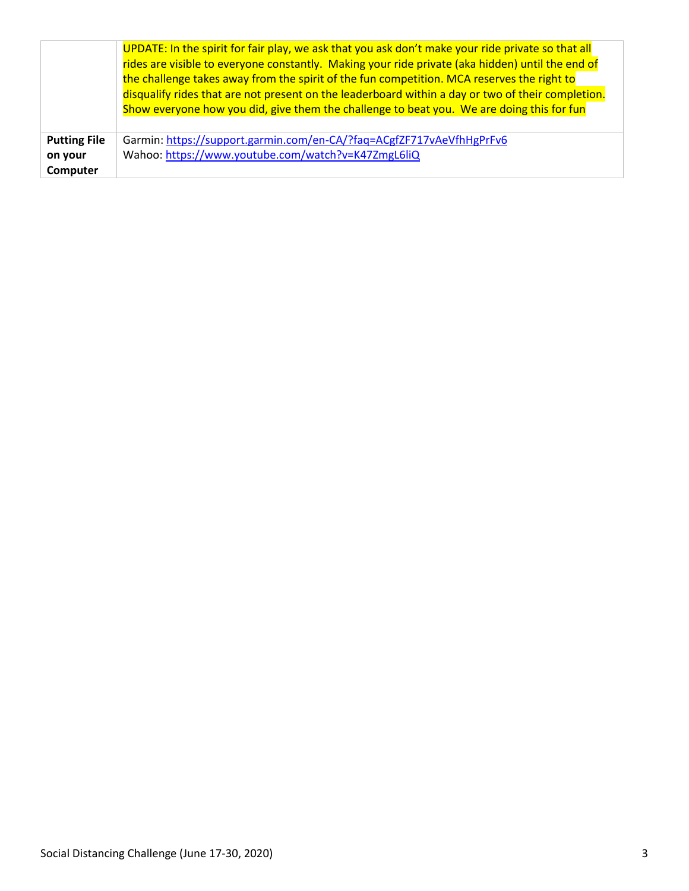|                     | UPDATE: In the spirit for fair play, we ask that you ask don't make your ride private so that all<br>rides are visible to everyone constantly. Making your ride private (aka hidden) until the end of<br>the challenge takes away from the spirit of the fun competition. MCA reserves the right to<br>disqualify rides that are not present on the leaderboard within a day or two of their completion.<br>Show everyone how you did, give them the challenge to beat you. We are doing this for fun |  |
|---------------------|-------------------------------------------------------------------------------------------------------------------------------------------------------------------------------------------------------------------------------------------------------------------------------------------------------------------------------------------------------------------------------------------------------------------------------------------------------------------------------------------------------|--|
|                     |                                                                                                                                                                                                                                                                                                                                                                                                                                                                                                       |  |
| <b>Putting File</b> | Garmin: https://support.garmin.com/en-CA/?faq=ACgfZF717vAeVfhHgPrFv6                                                                                                                                                                                                                                                                                                                                                                                                                                  |  |
| on your             | Wahoo: https://www.youtube.com/watch?v=K47ZmgL6liQ                                                                                                                                                                                                                                                                                                                                                                                                                                                    |  |
| Computer            |                                                                                                                                                                                                                                                                                                                                                                                                                                                                                                       |  |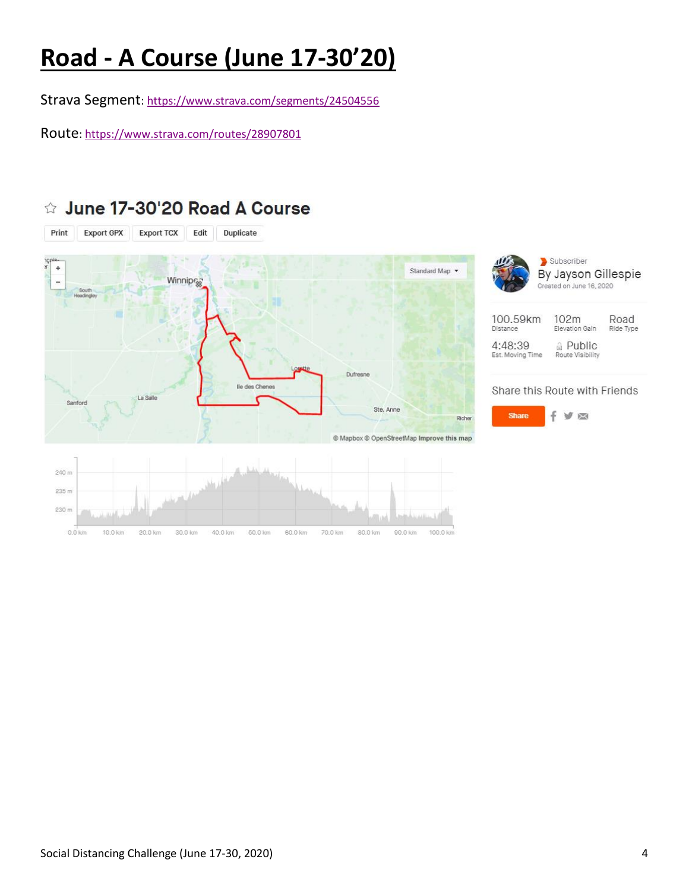# **Road - A Course (June 17-30'20)**

Strava Segment[: https://www.strava.com/segments/24504556](https://www.strava.com/segments/24504556)

Route[: https://www.strava.com/routes/28907801](https://www.strava.com/routes/28907801)

#### Export GPX Print Export TCX Edit Duplicate Subscriber  $\frac{1}{1}$ Standard Map + By Jayson Gillespie Winnipr<sub>38</sub> Created on June 16, 2020 100.59km 102m Elevation Gain Distance 4:48:39 **△ Public** Est. Moving Time Route Visibility Dufresne lle des Chenes Share this Route with Friends Renford Ste. Anne **Share** VØ Richer © Mapbox © OpenStreetMap Improve this map 240 m 235 m 230 m 0.0 km 10.0 km 20.0 km 30.0 km 40.0 km 50.0 km 60.0 km 70.0 km 80.0 km 90.0 km 100.0 km

### ☆ June 17-30'20 Road A Course

Road

Ride Type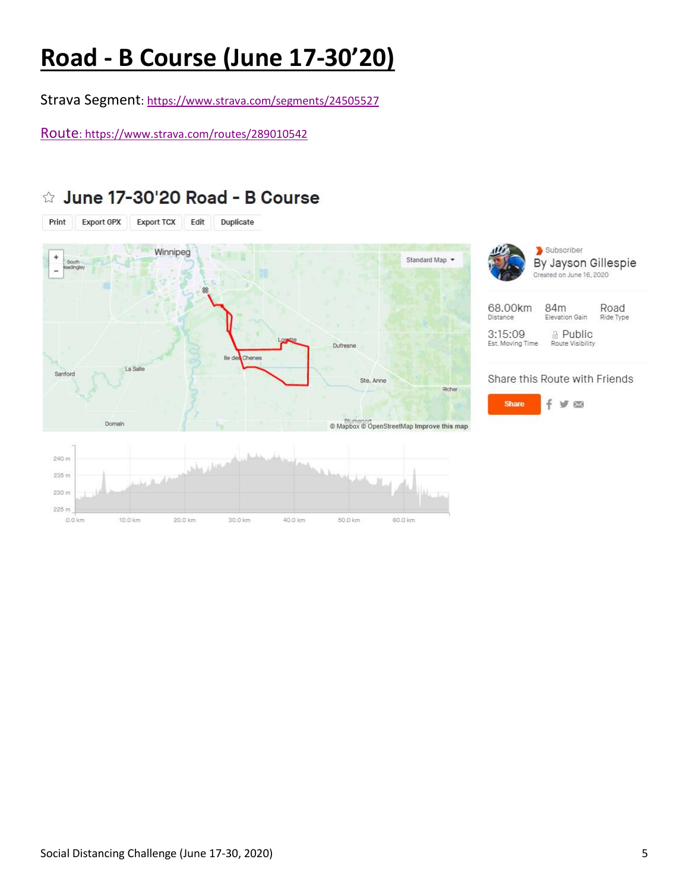## **Road - B Course (June 17-30'20)**

Strava Segment[: https://www.strava.com/segments/24505527](https://www.strava.com/segments/24505527)

Route[: https://www.strava.com/routes/289010542](https://www.strava.com/routes/28910542)

### ☆ June 17-30'20 Road - B Course



 $0.0$  km 10.0 km 20.0 km 30.0 km 40.0 km 50.0 km 60.0 km

Subscriber By Jayson Gillespie Created on June 16, 2020

| 68.00km                     | 84m                          | Road      |
|-----------------------------|------------------------------|-----------|
| Distance                    | Elevation Gain               | Ride Type |
| 3:15:09<br>Est. Moving Time | A Public<br>Route Visibility |           |

### Share this Route with Friends

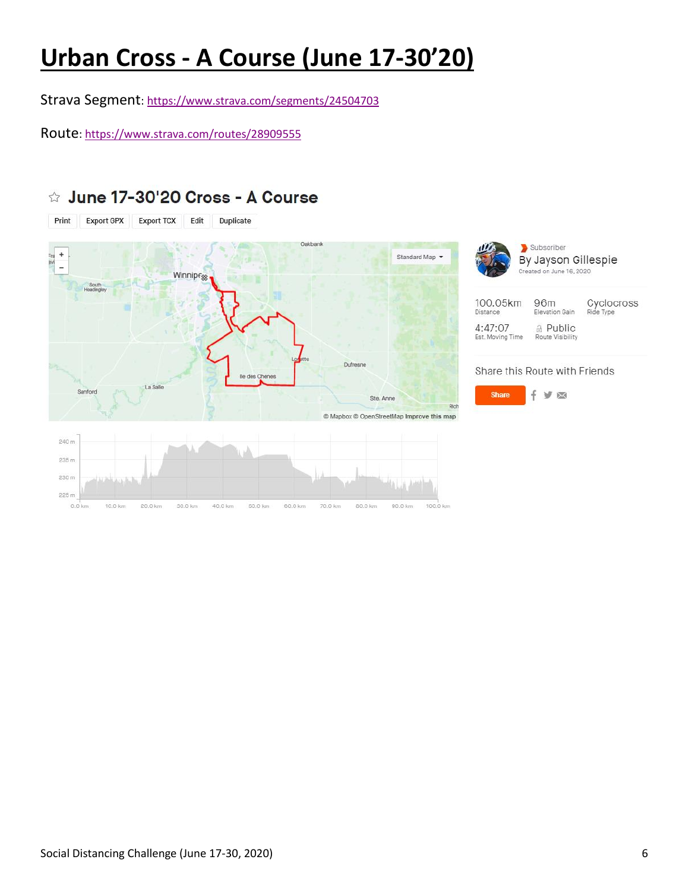## **Urban Cross - A Course (June 17-30'20)**

Strava Segment[: https://www.strava.com/segments/24504703](https://www.strava.com/segments/24504703)

Route[: https://www.strava.com/routes/28909555](https://www.strava.com/routes/28909555)

☆ June 17-30'20 Cross - A Course





#### Share this Route with Friends

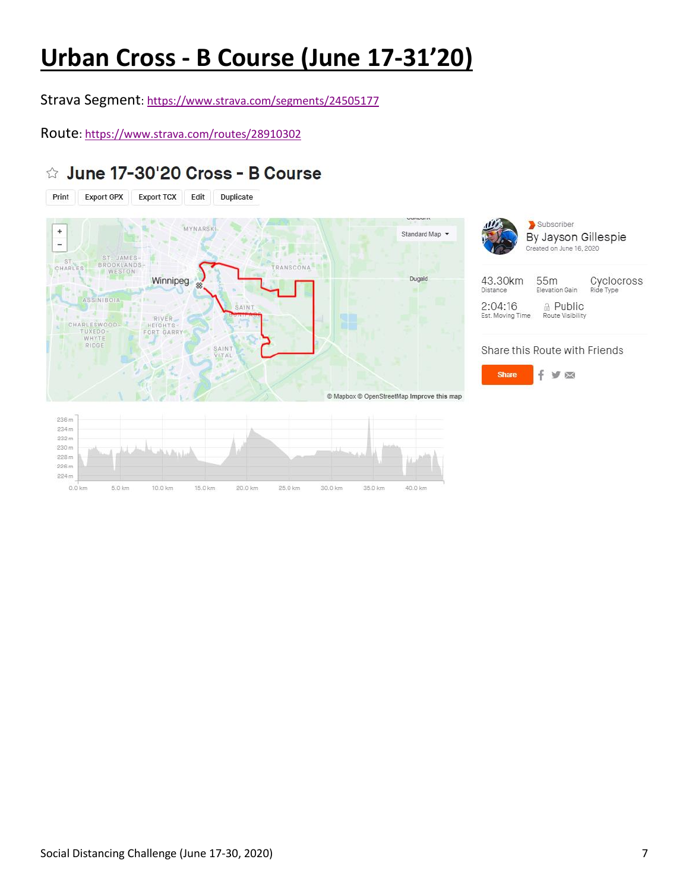## **Urban Cross - B Course (June 17-31'20)**

Strava Segment[: https://www.strava.com/segments/24505177](https://www.strava.com/segments/24505177)

Route[: https://www.strava.com/routes/28910302](https://www.strava.com/routes/28910302)

### ☆ June 17-30'20 Cross - B Course





#### Share this Route with Friends



 $0.0$  km

5.0 km

10.0 km

15.0 km

20.0 km

25.0 km

30.0 km

35.0 km

40.0 km